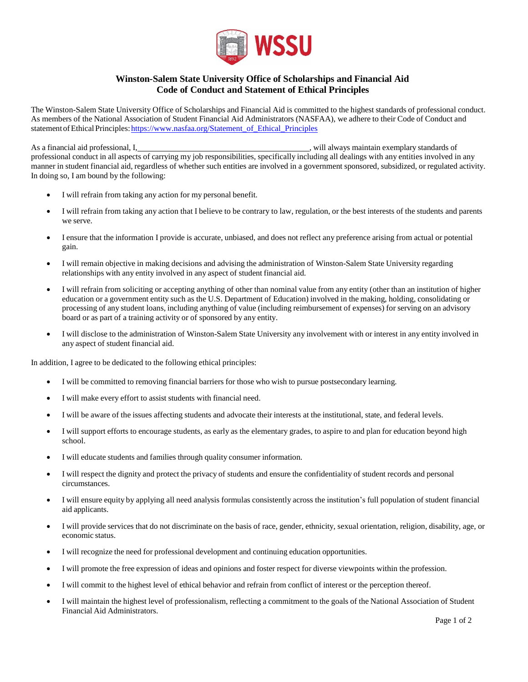

## **Winston-Salem State University Office of Scholarships and Financial Aid Code of Conduct and Statement of Ethical Principles**

The Winston-Salem State University Office of Scholarships and Financial Aid is committed to the highest standards of professional conduct. As members of the National Association of Student Financial Aid Administrators (NASFAA), we adhere to their Code of Conduct and statement of Ethical Principles: https://www.nasfaa.org/Statement\_of\_Ethical\_Principles

As a financial aid professional, I<sub>1</sub>  $\mu$  , will always maintain exemplary standards of professional conduct in all aspects of carrying my job responsibilities, specifically including all dealings with any entities involved in any manner in student financial aid, regardless of whether such entities are involved in a government sponsored, subsidized, or regulated activity. In doing so, I am bound by the following:

- I will refrain from taking any action for my personal benefit.
- I will refrain from taking any action that I believe to be contrary to law, regulation, or the best interests of the students and parents we serve.
- I ensure that the information I provide is accurate, unbiased, and does not reflect any preference arising from actual or potential gain.
- I will remain objective in making decisions and advising the administration of Winston-Salem State University regarding relationships with any entity involved in any aspect of student financial aid.
- I will refrain from soliciting or accepting anything of other than nominal value from any entity (other than an institution of higher education or a government entity such as the U.S. Department of Education) involved in the making, holding, consolidating or processing of any student loans, including anything of value (including reimbursement of expenses) for serving on an advisory board or as part of a training activity or of sponsored by any entity.
- I will disclose to the administration of Winston-Salem State University any involvement with or interest in any entity involved in any aspect of student financial aid.

In addition, I agree to be dedicated to the following ethical principles:

- I will be committed to removing financial barriers for those who wish to pursue postsecondary learning.
- I will make every effort to assist students with financial need.
- I will be aware of the issues affecting students and advocate their interests at the institutional, state, and federal levels.
- I will support efforts to encourage students, as early as the elementary grades, to aspire to and plan for education beyond high school.
- I will educate students and families through quality consumer information.
- I will respect the dignity and protect the privacy of students and ensure the confidentiality of student records and personal circumstances.
- I will ensure equity by applying all need analysis formulas consistently across the institution's full population of student financial aid applicants.
- I will provide services that do not discriminate on the basis of race, gender, ethnicity, sexual orientation, religion, disability, age, or economic status.
- I will recognize the need for professional development and continuing education opportunities.
- I will promote the free expression of ideas and opinions and foster respect for diverse viewpoints within the profession.
- I will commit to the highest level of ethical behavior and refrain from conflict of interest or the perception thereof.
- I will maintain the highest level of professionalism, reflecting a commitment to the goals of the National Association of Student Financial Aid Administrators.